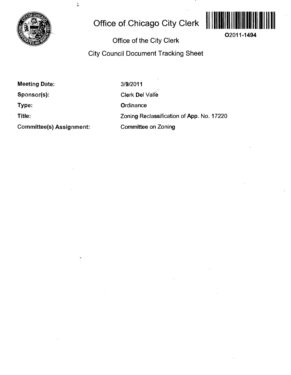

 $\tilde{\mathbf{C}}$ 

# **Office of Chicago City Clerk**



**O2011-1494** 

## **Office of the City Clerk**

**City Council Document Tracking Sheet** 

**Meeting Date: Sponsor(s):** 

**Type:** 

**Title:** 

**Committee(s) Assignment:** 

3/9/2011 Clerk Del Valle **Ordinance** Zoning Reclassification of App. No. 17220 Committee on Zoning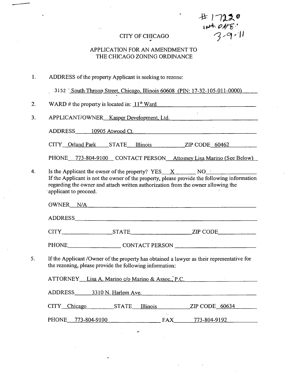CITY OF CHICAGO  $344 + 945$ 

#### APPLICATION FOR AN AMENDMENT TO THE CHICAGO ZONING ORDINANCE

1. ADDRESS df the property Applicant is seeking to rezone:

3152 <u>'South Throop Street, Chicago, Illinois 60608</u> (PIN: 17-32-105-011-0000)

2. WARD # the property is located in:  $11<sup>th</sup>$  Ward

3. APPLICANT/OWNER Kasper Development, Ltd.

ADDRESS 10905 Atwood Ct.

CITY Orland Park STATE Illinois ZIP CODE 60462

PHONE 773-804-9100 CONTACT PERSON Attomey Lisa Marino (See Below)

 $\overline{4}$ . Is the Applicant the owner of the property? YES  $X = \text{NO}$  NO  $\cdot$ If the Applicant is not the owner of the property, please provide the following information regarding the owner and attach written authorization from the owner allowing the applicant to proceed.

|    |                                                         | OWNER N/A                                                                                 |
|----|---------------------------------------------------------|-------------------------------------------------------------------------------------------|
|    |                                                         |                                                                                           |
|    |                                                         | CITY STATE STATE ZIP CODE                                                                 |
|    |                                                         | PHONE CONTACT PERSON                                                                      |
| 5. | the rezoning, please provide the following information: | If the Applicant /Owner of the property has obtained a lawyer as their representative for |
|    |                                                         | ATTORNEY Lisa A. Marino c/o Marino & Assoc., P.C.                                         |
|    | ADDRESS 3310 N. Harlem Ave.                             |                                                                                           |

CITY Chicago STATE Illinois ZIP CODE 60634

 $\ddotsc$ 

PHONE 773-804-9100 FAX 773-804-9192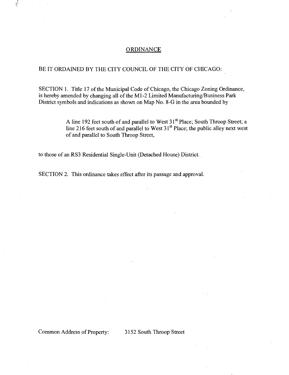#### **ORDINANCE**

#### BE IT ORDAINED BY THE CITY COUNCIL OF THE CITY OF CHICAGO:

SECTION 1. Title 17 of the Municipal Code of Chicago, the Chicago Zoning Ordinance, is hereby amended by changing all of the Ml-2 Limited Manufacturing/Business Park District symbols and indications as shown on Map No. 8-G in the area bounded by

> A line 192 feet south of and parallel to West 31<sup>st</sup> Place; South Throop Street; a line 216 feet south of and parallel to West 31<sup>st</sup> Place; the public alley next west of and parallel to South Throop Street,

to those of an RS3 Residential Single-Unit (Detached House) District.

SECTION 2. This ordinance takes effect after its passage and approval.

Common Address of Property: 3152 South Throop Street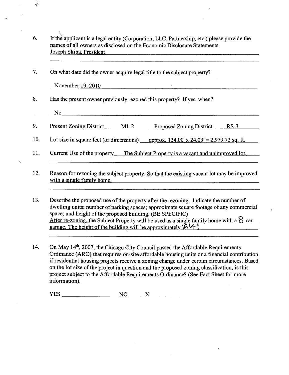- If the applicant is a legal entity (Corporation, LLC, Partnership, etc.) please provide the 6. names of all owners as disclosed on the Economic Disclosure Statements. Joseph Skiba. President
- 7. On what date did the owner acquire legal title to the subject property?

November 19. 2010

- 8. Has the present owner previously rezoned this property? If yes, when?
	- No

 $\frac{1}{2}$ 

- 9. Present Zoning District\_\_\_\_\_\_ M1-2 \_\_\_\_\_\_\_ Proposed Zoning District\_\_\_\_\_ RS-3
- 10. Lot size in square feet (or dimensions) approx.  $124.00'$  x  $24.03' = 2.979.72$  sq. ft.

- 11. Current Use of the property The Subject Property is a vacant and unimproved lot.
- 12. Reason for rezoning the subject property: So that the existing vacant lot may be improved with a single family home.

13. Describe the proposed use of the property after the rezoning. Indicate the number of dwelling units; number of parking spaces; approximate square footage of any commercial space; and height of the proposed building. (BE SPECIFIC) After re-zoning, the Subject Property will be used as a single family home with a  $\Omega$  car garage. The height of the building will be approximately  $\mathcal{C}^14$ .

14. On May 14\*, 2007, the Chicago City Council passed the Affordable Requirements Ordinance (ARO) that requires on-site affordable housing units or a financial contribution if residential housing projects receive a zoning change under certain circumstances. Based on the lot size of the project in question and the proposed zoning classification, is this project subject to the Affordable Requirements Ordinance? (See Fact Sheet for more information).

 $YES$  NO  $X$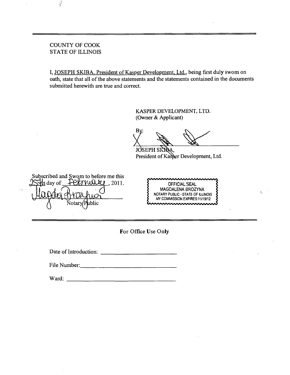#### COUNTY OF COOK STATE OF ILLINOIS

 $\frac{1}{2}$ 

I, JOSEPH SKIBA, President of Kasper Development, Ltd., being first duly swom on oath, state that all of the above statements and the statements contained in the documents submitted herewith are true and correct.

> KASPER DEVELOPMENT, LTD. (Owner & Applicant)

R۱

JOSEPH SKIDA. President of Kasper Development, Ltd.

Subscribed and Swom to before me this  $\mu$ day of  $\sqrt{\frac{PQ}{M}}$  . 2011.  $\sqrt{\frac{PQ}{M}}$  . OFFICIAL SEAL blic

MAGDALENA BROZYNA NOTARY PUBLIC - STATE OF ILLINOIS MY COMMISSION EXPIRES:11/19/12

 $\epsilon$ 

**For Office Use Only** 

Date of Introduction:

File Number:

Ward: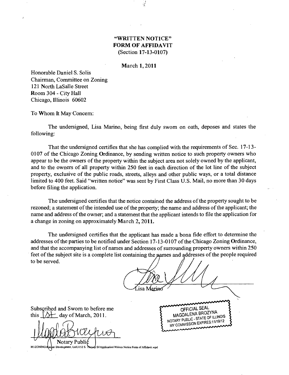#### **"WRITTEN NOTICE" FORM OF AFFIDAVIT (Section 17-13-0107)**

**March 1,2011** 

Honorable Daniel S. Solis Chairman, Committee on Zoning 121 North LaSalle Street Room 304 - City Hall Chicago, Illinois 60602

To Whom It May Concem:

The undersigned, Lisa Marino, being first duly swom on oath, deposes and states the following:

That the undersigned certifies that she has complied with the requirements of Sec. 17-13- 0107 of the Chicago Zoning Ordinance, by sending written notice to such property owners who appear to be the owners of the property within the subject area not solely owned by the applicant, and to the owners of all property within 250 feet in each direction of the lot line of the subject property, exclusive of the public roads, streets, alleys and other public ways, or a total distance limited to 400 feet. Said "written notice" was sent by First Class U.S. Mail, no more than 30 days before filing the application.

**The undersigned certifies that the notice contained the address of the property sought to be rezoned; a statement of the intended use of the property; the name and address of the applicant; the name and address of the owner; and a statement that the applicant intends to file the application for a change in zoning on approximately March 2, 2011.** 

The undersigned certifies that the applicant has made a bona fide effort to determine the addresses of the parties to be notified under Section 17-13-0107 of the Chicago Zoning Ordinance, and that the accompanying list of names and addresses of surrounding property owners within 250 feet of the subject site is a complete list containing the parmes and addresses of the people required to be served.

*h/iojiRy* 

Subscribed and Swom to before me this  $\sqrt{}$  day of March, 2011.

Notary Publi

OFFICIAL SEAL<br>MAGDALENA BROZYNA MAGDALENA BROZ INTERNOIS ARY PUBLIC - STATE OF THE 19/12

M:\ZONING' Development, UdVJ 152 S. St\Application\Wrinco Notice Form of AflEdavit.wpd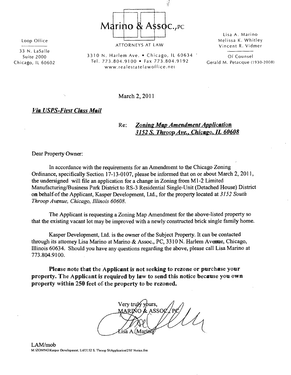$\frac{1}{2}$ **Marino & Assoc., PC** 

Loop Office

33 N. LaSalle Suite 2000 Chicago, IL 60602 ATTORNEYS AT LAW

Lisa A. Marino Melissa K. Whitley Vincent R. Vidmer

3310 N. Harlem Ave. . Chicago, IL 60634 . Tel. 773.804.9100 • Fax 773.804.9192 www.realestatelawoffice.net

Of Counsel Gerald M. Petacque (1930-2006

March 2, 2011

#### *Via USPS-First Class Mail*

### *Re: Zoning Map Amendment Application 3152 S. Throop Ave.. Chicago. IL 60608*

Dear Property Owner:

*In accordance with the requirements for an Amendment to the Chicago Zoning Ordinance, specifically Section 17-13-0107, please be informed that on or about March 2, 2011, the undersigned will file an application for a change in Zoning from Ml-2 Limited Manufacturing/Business Park District to RS-3 Residential Single-Unit (Detached House) District on behalf of the Applicant, Kasper Development, Ltd., for the property located at 3152 Soutli Tfiroop Avenue, Chicago, Illinois 60608.* 

The Applicant is requesting a Zoning Map Amendment for the above-listed property so that the existing vacant lot may be improved with a newly constructed brick single family home.

Kasper Development, Ltd. is the owner of the Subject Property. It can be contacted through its attomey Lisa Marino at Marino & Assoc., PC, 3310 N. Harlem Avenue, Chicago, Illinois 60634. Should you have any questions regarding the above, please call Lisa Marino at 773.804.9100.

**Please note that the Applicant is not seeking to rezone or purchase your property. The Applicant is required by law to send this notice because you own property within 250 feet of the property to be rezoned.** 

Very truly yours, MARINO & ASSOØ

LAM/mob M:\ZONrNG\Kasper Development, Ltd\3152 S. Throop St\Application\250' Notice.frm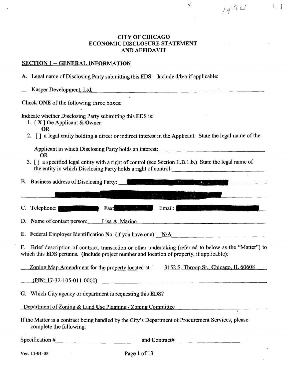#### **CITY OF CHICAGO ECONOMIC DISCLOSURE STATEMENT AND AFFIDAVIT**

 $\frac{1}{2}$ 

**u** 

 $1494$ 

### **SECTION 1 - GENERAL INFORMATION**

A. Legal name of Disclosing Party submitting this EDS. Include d/b/a if applicable:

| Kasper Development, Ltd.                                                                                                                                                                                                                                                                                                                                                                                                                                           |
|--------------------------------------------------------------------------------------------------------------------------------------------------------------------------------------------------------------------------------------------------------------------------------------------------------------------------------------------------------------------------------------------------------------------------------------------------------------------|
| Check ONE of the following three boxes:                                                                                                                                                                                                                                                                                                                                                                                                                            |
| Indicate whether Disclosing Party submitting this EDS is:<br>1. $[X]$ the Applicant & Owner<br><b>OR</b><br>2. [] a legal entity holding a direct or indirect interest in the Applicant. State the legal name of the                                                                                                                                                                                                                                               |
| Applicant in which Disclosing Party holds an interest:<br><b>OR</b><br>3. [] a specified legal entity with a right of control (see Section Il.B.1.b.) State the legal name of<br>the entity in which Disclosing Party holds a right of control:                                                                                                                                                                                                                    |
|                                                                                                                                                                                                                                                                                                                                                                                                                                                                    |
| $\mathcal{L}(\mathbf{z}) = \mathcal{L}(\mathbf{z})$ , where $\mathcal{L}(\mathbf{z}) = \mathcal{L}(\mathbf{z})$ , we have the set of $\mathcal{L}(\mathbf{z})$                                                                                                                                                                                                                                                                                                     |
| C. Telephone: <b>The C. Participants</b> Fax:<br>Email: Email: Email: Email: Email: Email: Email: Email: Email: Email: Email: Email: Email: Email: Email: Email: Email: Email: Email: Email: Email: Email: Email: Email: Email: Email: Email: Email: Email: Email: Email: Email<br>$\label{eq:2} \mathcal{L} = \mathcal{L} \left( \mathcal{L} \right) \left( \mathcal{L} \right) \left( \mathcal{L} \right) \left( \mathcal{L} \right) \left( \mathcal{L} \right)$ |
| D. Name of contact person: Lisa A. Marino<br><u> 1980 - Jan Samuel Barbara, martin a</u>                                                                                                                                                                                                                                                                                                                                                                           |
| E. Federal Employer Identification No. (if you have one): N/A                                                                                                                                                                                                                                                                                                                                                                                                      |
| F. Brief description of contract, transaction or other undertaking (referred to below as the "Matter") to<br>which this EDS pertains. (Include project number and location of property, if applicable):                                                                                                                                                                                                                                                            |
| Zoning Map Amendment for the property located at 3152 S. Throop St., Chicago, IL 60608                                                                                                                                                                                                                                                                                                                                                                             |
| $(PIN: 17-32-105-011-0000)$                                                                                                                                                                                                                                                                                                                                                                                                                                        |
| G. Which City agency or department is requesting this EDS?                                                                                                                                                                                                                                                                                                                                                                                                         |
| Department of Zoning & Land Use Planning / Zoning Committee<br>τ                                                                                                                                                                                                                                                                                                                                                                                                   |
| If the Matter is a contract being handled by the City's Department of Procurement Services, please<br>complete the following:                                                                                                                                                                                                                                                                                                                                      |
| Specification #<br>and Contract#                                                                                                                                                                                                                                                                                                                                                                                                                                   |

**Ver. 11-01-05** 

Page 1 of 13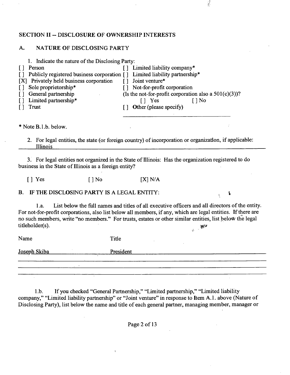#### **SECTION II - DISCLOSURE OF OWNERSHIP INTERESTS**

#### **A. NATURE OF DISCLOSING PARTY**

| 1. Indicate the nature of the Disclosing Party:                            |                                                          |        |
|----------------------------------------------------------------------------|----------------------------------------------------------|--------|
| Person                                                                     | Limited liability company*                               |        |
| Publicly registered business corporation [] Limited liability partnership* |                                                          |        |
| [X] Privately held business corporation                                    | Joint venture*                                           |        |
| Sole proprietorship*                                                       | Not-for-profit corporation                               |        |
| General partnership                                                        | (Is the not-for-profit corporation also a $501(c)(3)$ )? |        |
| Limited partnership*                                                       | [] Yes                                                   | [ ] No |
| Trust                                                                      | Other (please specify)                                   |        |
|                                                                            |                                                          |        |
|                                                                            |                                                          |        |
| * Note B.1.b. below.                                                       |                                                          |        |

2. For legal entities, the state (or foreign country) of incorporation or organization, if applicable: Illinois substitution in the control of the control of the control of the control of the control of the control of

 $\frac{1}{2}$ 

3. For legal entities not organized in the State of Illinois: Has the organization registered to do business in the State of Illinois as a foreign entity?

 $[$  | Yes  $[$  | No  $[$   $X]$  N/A

*B. IF THE DISCLOSING PARTY IS A LEGAL ENTITY: %* 

1 .a. List below the fiill names and titles of all executive officers and all directors of the entity. For not-for-profit corporations, also list below all members, if any, which are legal entities. If there are no such members, write "no members." For trusts, estates or other similar entities, list below the legal titleholder(s).  $\mathbb{R}^{2^{n-1}}$ 

Name Title Joseph Skiba President  $\mathcal{L}^{\pm}$ <u> 1980 - Jan Barnett, fransk kongresu (d. 1980)</u>

1 .b. If you checked "General Partnership," "Limited partnership," "Limited liability company," "Limited liability partnership" or "Joint venture" in response to Item A.l . above (Nature of Disclosing Party), list below the name and title of each general partner, managing member, manager or

Page 2 of 13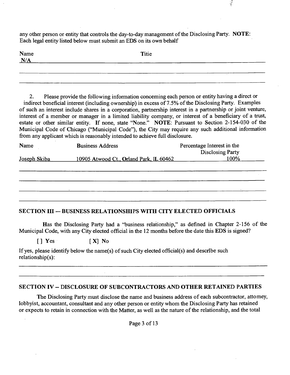any other person or entity that controls the day-to-day management of the Disclosing Party. NOTE: Each legal entity listed below must submit an EDS on its own behalf

| Name $N/A$ | Titie |  |
|------------|-------|--|
|            |       |  |
| ___        |       |  |

e)<br>S

2. Please provide the following information conceming each person or entity having a direct or indirect beneficial interest (including ownership) in excess of 7.5% of the Disclosing Party. Examples of such an interest include shares in a corporation, partnership interest in a partnership or joint venture, interest of a member or manager in a limited liability company, or interest of a beneficiary of a trust, estate or other similar entity. If none, state "None." NOTE: Pursuant to Section 2-154-030 of the Municipal Code of Chicago ("Municipal Code"), the City may require any such additional information from any applicant which is reasonably intended to achieve full disclosure.

| Name         | <b>Business Address</b>                 | Percentage Interest in the<br><b>Disclosing Party</b> |
|--------------|-----------------------------------------|-------------------------------------------------------|
| Joseph Skiba | 10905 Atwood Ct., Orland Park, IL 60462 | 100%                                                  |
|              |                                         |                                                       |
|              |                                         |                                                       |
|              |                                         |                                                       |

### **SECTION III — BUSINESS RELATIONSHIPS WITH CITY ELECTED OFFICIALS**

Has the Disclosing Party had a "business relationship," as defined in Chapter 2-156 of the Municipal Code, with any City elected official in the 12 months before the date this EDS is signed?

 $[ ]$  Yes  $[ X ]$  No

If yes, please identify below the name(s) of such City elected official(s) and describe such relationship(s):

### **SECTION IV - DISCLOSURE OF SUBCONTRACTORS AND OTHER RETAINED PARTIES**

The Disclosing Party must disclose the name and business address of each subcontractor, attomey, lobbyist, accountant, consultant and any other person or entity whom the Disclosing Party has retained or expects to retain in connection with the Matter, as well as the nature of the relationship, and the total

Page 3 of 13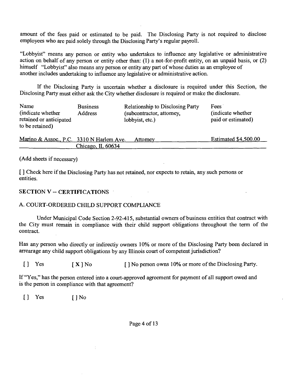amount of the fees paid or estimated to be paid. The Disclosing Party is not required to disclose employees who are paid solely through the Disclosing Party's regular payroll.

"Lobbyist" means any person or entity who undertakes to influence any legislative or administrative action on behalf of any person or entity other than: (I) a not-for-profit entity, on an unpaid basis, or (2) himself "Lobbyist" also means any person or entity any part of whose duties as an employee of another includes undertaking to influence any legislative or administrative action.

If the Disclosing Party is uncertain whether a disclosure is required under this Section, the Disclosing Party must either ask the City whether disclosure is required or make the disclosure.

| Name<br>(indicate whether<br>retained or anticipated<br>to be retained) | <b>Business</b><br>Address | <b>Relationship to Disclosing Party</b><br>(subcontractor, attomey,<br>lobbyist, etc.) | Fees<br>(indicate whether<br>paid or estimated) |
|-------------------------------------------------------------------------|----------------------------|----------------------------------------------------------------------------------------|-------------------------------------------------|
|                                                                         |                            |                                                                                        |                                                 |

| Marino & Assoc., P.C. 3310 N Harlem Ave. |                   | Attomev | <b>Estimated \$4,500.00</b> |
|------------------------------------------|-------------------|---------|-----------------------------|
|                                          | Chicago, IL 60634 |         |                             |

(Add sheets if necessary)

[ ] Check here if the Disclosing Party has not retained, nor expects to retain, any such persons or entities.

**SECTION V - CERTIFICATIONS** 

#### A. COURT-ORDERED CHILD SUPPORT COMPLIANCE

 $\frac{1}{2}$ 

Under Municipal Code Section 2-92-415, substantial owners of business entities that contract with the City must remain in compliance with their child support obligations throughout the term of the contract.

Has any person who directly or indirectiy owners 10% or more of the Disclosing Party been declared in arrearage any child support obligations by any Illinois court of competent jurisdiction?

[] Yes  $[X]$  No  $[]$  No person owns 10% or more of the Disclosing Party.

If "Yes," has the person entered into a court-approved agreement for payment of all support owed and is the person in compliance with that agreement?

[] Yes [] No

Page 4 of 13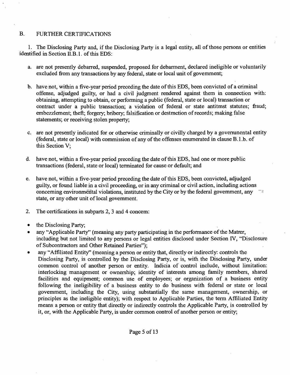#### B. FURTHER CERTIFICATIONS

1. The Disclosing Party and, if the Disclosing Party is a legal entity, all of those persons or entities identified in Section II.B.1. of this EDS:

- a. are not presently debarred, suspended, proposed for debarment, declared ineligible or voluntarily excluded from any transactions by any federal, state or local unit of govemment;
- b. have not, within a five-year period preceding the date of this EDS, been convicted of a criminal offense, adjudged guilty, or had a civil judgment rendered against them in connection with: obtaining, attempting to obtain, or performing a public (federal, state or local) transaction or contract under a public transaction; a violation of federal or state antitmst statutes; fraud; embezzlement; theft; forgery; bribery; falsification or destmction of records; making false statements; or receiving stolen property;
- c. are not presently indicated for or otherwise criminally or civilly charged by a goverrunental entity (federal, state or local) with commission of any of the offenses enumerated in clause B.l.b. of this Section V;
- d. have not, within a five-year period preceding the date of this EDS, had one or more public transactions (federal, state or local) terminated for cause or default; and
- e. have not, within a five-year period preceding the date of this EDS, been convicted, adjudged guilty, or found liable in a civil proceeding, or in any criminal or civil action, including actions conceming environmental violations, instituted by the City or by the federal govemment, any state, or any other unit of local govemment.
- 2. The certifications in subparts 2, 3 and 4 concem:
- the Disclosing Party;
- any "Applicable Party" (meaning any party participating in the performance of the Matrer, including but not limited to any persons or legal entities disclosed under Section FV, "Disclosure of Subcontractors and Other Retained Parties");
- any "Affiliated Entity" (meaning a person or entity that, directly or indirectly: controls the Disclosing Party, is controlled by the Disclosing Party, or is, with the Disclosing Party, under common conttol of another person or entity. Indicia of control include, without limitation: interlocking management or ownership; identity of interests among family members, shared facilities and equipment; common use of employees; or organization of a business entity following the ineligibility of a business entity to do business with federal or state or local govemment, including the City, using substantially the same management, ownership, or principles as the ineligible entity); with respect to Applicable Parties, the term Affiliated Entity means a person or entity that directly or indirectly controls the Applicable Party, is controlled by it, or, with the Applicable Party, is under common control of another person or entity;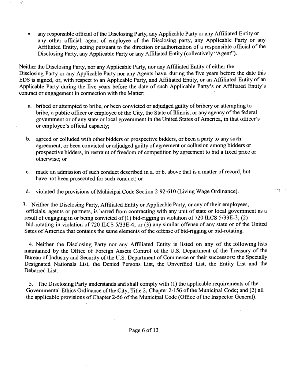• any responsible official of the Disclosing Party, any Applicable Party or any Affiliated Entity or any other official, agent of employee of the Disclosing party, any Applicable Party or any Affiliated Entity, acting pursuant to the direction or authorization of a responsible official of the Disclosing Party, any Applicable Party or any Affiliated Entity (collectively "Agent").

Neither the Disclosing Party, nor any Applicable Party, nor any Affiliated Entity of either the Disclosing Party or any Applicable Party nor any Agents have, during the five years before the date this EDS is signed, or, with respect to an Applicable Party, and Affiliated Entity, or an Affiliated Entity of an Applicable Party during the five years before the date of such Applicable Party's or Affiliated Entity's contract or engagement in cormection with the Matter:

- a. bribed or attempted to bribe, or been convicted or adjudged guilty of bribery or attempting to bribe, a public officer or employee of the City, the State of Illinois, or any agency of the federal govemment or of any state or local govemment in the United States of America, in that officer's or employee's official capacity;
- b. agreed or colluded with other bidders or prospective bidders, or been a party to any such agreement, or been convicted or adjudged guilty of agreement or collusion among bidders or prospective bidders, in resttaint of freedom of competition by agreement to bid a fixed price or otherwise; or
- c. made an admission of such conduct described in a. or b. above that is a matter of record, but have not been prosecuted for such conduct; or
- d. violated the provisions of Muhicipai Code Section 2-92-610 (Living Wage Ordinance).

3. Neither the Disclosing Party, Affiliated Entity or Applicable Party, or any of their employees, officials, agents or partners, is barred from conttacting with any unit of state or local govemment as a result of engaging in or being convicted of (1) bid-rigging in violation of 720 ILCS 5/33E-3; (2) bid-rotating in violation of 720 ILCS 5/33E-4; or (3) any similar offense of any state or of the United Sates of America that contains the same elements of the offense of bid-rigging or bid-rotating.

4. Neither the Disclosing Party nor any Affiliated Entity is listed on any of the following lists maintained by the Office of Foreign Assets Conttol of the U.S. Department of the Treasury of the Bureau of Industry and Security of the U.S. Department of Commerce or their successors: the Specially Designated Nationals List, the Denied Persons List, the Unverified List, the Entity List and the Debarred List.

5. The Disclosing Party understands and shall comply with (1) the applicable requirements of the Govemmental Ethics Ordinance of the City, Titie 2, Chapter 2-156 of the Municipal Code; and (2) all the applicable provisions of Chapter 2-56 of the Municipal Code (Office of the Inspector General).

 $\frac{1}{2}$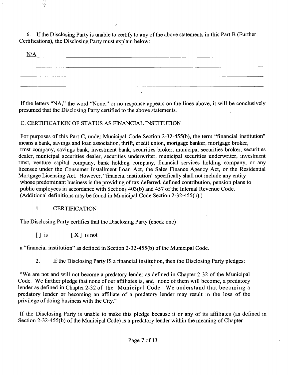6. If the Disclosing Party is unable to certify to any of the above statements in this Part B (Further Certifications), the Disclosing Party must explain below:



If the letters "NA," the word "None," or no response appears on the lines above, it will be conclusively presumed that the Disclosing Party certified to the above statements.

#### C. CERTIFICATION OF STATUS AS FINANCIAL INSTITUTION

For purposes of this Part C, under Municipal Code Section 2-32-455(b), the term "financial institution" means a bank, savings and loan association, thrift, credit union, mortgage banker, mortgage broker, tmst company, savings bank, investment bank, securities broker, municipal securities broker, securities dealer, municipal securities dealer, securities underwriter, municipal securities underwriter, investment tmst, venture capital company, bank holding company, financial services holding company, or any licensee under the Consumer Installment Loan Act, the Sales Finance Agency Act, or the Residential Mortgage Licensing Act. However, "financial institution" specifically shall not include any entity whose predominant business is the providing of tax deferred, defined contribution, pension plans to public employees in accordance with Sections 403(b) and 457 of the Internal .Revenue Code. (Additional definitions may be found in Municipal Code Section 2-32-455(b).)

### 1. CERTIFICATION

The Disclosing Party certifies that the Disclosing Party (check one)

 $\begin{bmatrix} \n\end{bmatrix}$  is  $\begin{bmatrix} \mathbf{X} \end{bmatrix}$  is not

a "financial institution" as defined in Section 2-32-455(b) of the Municipal Code.

2. If the Disclosing Party IS a financial institution, then the Disclosing Party pledges:

"We are not and will not become a predatory lender as defined in Chapter 2-32 of the Municipal Code. We further pledge that none of our affiliates is, and none of them will become, a predatory lender as defined in Chapter 2-32 of the Municipal Code. We understand that becoming a predatory lender or becoming an affiliate of a predatory lender may result in the loss of the privilege of doing business with the City."

If the Disclosing Party is unable to make this pledge because it or any of its affiliates (as defined in Section 2-32-455(b) of the Municipal Code) is a predatory lender within the meaning of Chapter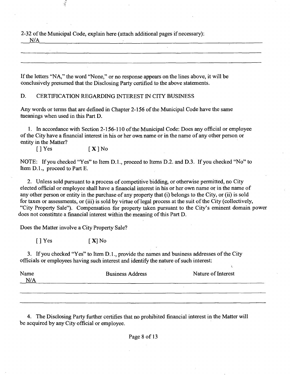2-32 ofthe Municipal Code, explain here (attach additional pages if necessary): 

N/A

If the letters "NA," the word "None," or no response appears on the lines above, it will be conclusively presumed that the Disclosing Party certified to the above statements.

D. CERTIFICATION REGARDING INTEREST IN CITY BUSINESS

Any words or terms that are defined in Chapter 2-156 of the Municipal Code have the same meanings when used in this Part D.

1. In accordance with Section 2-156-110 of the Municipal Code: Does any official or employee of the City have a financial interest in his or her own name or in the name of any other person or entity in the Matter?<br>[] Yes

 $[X]$  No

NOTE: If you checked "Yes" to Item D.l., proceed to Items D.2. and D.3. If you checked "No" to Item D.l., proceed to Part E.

2. Unless sold pursuant to a process of competitive bidding, or otherwise permitted, no City elected official or employee shall have a financial iriterest in his or her own name or in the name of any other person or entity in the purchase of any property that (i) belongs to the City, or (ii) is sold for taxes or assessments, or (iii) is sold by virtue of legal process at the suit of the City (collectively, "City Property Sale"). Compensation for property taken pursuant to the City's eminent domain power does not constimte a financial interest within the meaning of this Part D.

Does the Matter involve a City Property Sale?

 $[$  | Yes  $[$  X| No

3. If you checked "Yes" to Item D.1., provide the names and business addresses of the City officials or employees having such interest and identify the nature of such interest:

| Name<br>N/A | <b>Business Address</b> | Nature of Interest |
|-------------|-------------------------|--------------------|
|             |                         |                    |
|             |                         |                    |

4. The Disclosing Party further certifies that no prohibited financial interest in the Matter will be acquired by any City official or employee.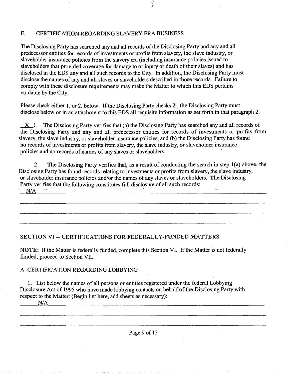#### E. CERTIFICATION REGARDING SLAVERY ERA BUSINESS

The Disclosing Party has searched any and all records of the Disclosing Party and any and all predecessor entities for records of investments or profits from slavery, the slave industry, or slaveholder insurance policies from the slavery era (including insurance policies issued to slaveholders that provided coverage for damage to or injury or death of their slaves) and has disclosed in the EDS any and all such records to the City. In addition, the Disclosing Party must disclose the names of any and all slaves or slaveholders described in those records. Failure to comply with these disclosure requirements may make the Matter to which this EDS pertains voidable by the City.

ý.

Please check either 1. or 2. below. If the Disclosing Party checks 2., the Disclosing Party must disclose below or in an attachment to this EDS all requisite information as set forth in that paragraph 2.

 $X_1$ . The Disclosing Party verifies that (a) the Disclosing Party has searched any and all records of the Disclosing Party and any and all predecessor entities for records of investments or profits from slavery, the slave industry, or slaveholder insurance policies, and (b) the Disclosing Party has foimd no records of investments or profits from slavery, the slave industry, or slaveholder insurance policies and no records of names of any slaves or slaveholders.

2. The Disclosing Party verifies that, as a result of conducting the search in step 1(a) above, the Disclosing Party has found records relating to investments or profits from slavery, the slave industry, or slaveholder insurance policies and/or the names of any slaves or slaveholders. The Disclosing Party verifies that the following constitutes fiill disclosure of all such records: and the control of the control of the control of the control of the control of the control of the control of the 

 $N/A$ 

#### **SECTION VI ~ CERTIFICATIONS FOR FEDERALLY-FUNDED MATTERS**

NOTE: If the Matter is federally funded, complete this Section VI. If the Matter is not federally fimded, proceed to Section VII.

#### A. CERTIFICATION REGARDING LOBBYING

1. List below the names of all persons or entities registered under the federal Lobbying Disclosure Act of 1995 who have made lobbying contacts on behalf of the Disclosing Party with respect to the Matter: (Begin list here, add sheets as necessary):

ing and a straight and a straight and a straight

N/A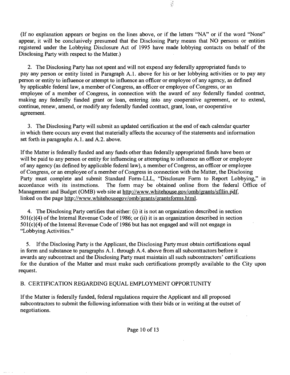(If no explanation appears or begins on the lines above, or if the letters "NA" or if the word "None" appear, it will be conclusively presumed that the Disclosing Party means that NO persons or entities registered under the Lobbying Disclosure Act of 1995 have made lobbying contacts on behalf of the Disclosing Party with respect to the Matter.)

 $\frac{1}{2}$ 

2. The Disclosing Party has not spent and will not expend any federally appropriated funds to pay any person or entity listed in Paragraph A. 1. above for his or her lobbying activities or to pay any person or entity to influence or attempt to influence an officer or employee of any agency, as defined by applicable federal law, a member of Congress, an officer or employee of Congress, or an employee of a member of Congress, in connection with the award of any federally fiinded contract, making any federally fiinded grant or loan, entering into any cooperative agreement, or to extend, continue, renew, amend, or modify any federally funded conttact, grant, loan, or cooperative agreement.

3. The Disclosing Party will submit an updated certification at the end of each calendar quarter in which there occurs any event that materially affects the accuracy of the statements and information set forth in paragraphs A.1. and A.2. above.

If the Matter is federally funded and any funds other than federally appropriated fiinds have been or will be paid to any person or entity for influencing or attempting to influence an officer or employee of any agency (as defined by applicable federal law), a member of Congress, an officer or employee of Congress, or an employee of a member of Congress in connection with the Matter, the Disclosing Party must complete and submit Standard Form-LLL, "Disclosure Form to Report Lobbying," in accordance with its instmctions. The form may be obtained online from the federal Office of Management and Budget (OMB) web site at http://www.whitehouse.gov/omb/grants/sfllin.pdf, linked on the page http://www.whitehousegov/omb/grants/grantsforms.html.

4. The Disclosing Party certifies that either: (i) it is not an organization described in section 501(c)(4) of the Intemal Revenue Code of 1986; or (ii) it is an organization described in section 501(c)(4) of the Intemal Revenue Code of 1986 but has not engaged and will not engage in "Lobbying Activities."

5. If the Disclosing Party is the Applicant, the Disclosing Party must obtain certifications equal in form and substance to paragraphs A.l . through A.4. above from all subconttactors before it awards any subcontract and the Disclosing Party must maintain all such subcontractors' certifications for the duration of the Matter and must make such certifications promptly available to the City upon request.

#### B. CERTIFICATION REGARDING EQUAL EMPLOYMENT OPPORTUNITY

If the Matter is federally funded, federal regulations require the Applicant and all proposed subcontractors to submit the following information with their bids or in writing at the outset of negotiations.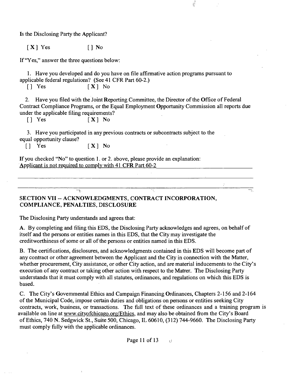Is the Disclosing Party the Applicant?

 $[X]$   $Yes$   $[]$   $No$ 

If "Yes," answer the three questions below:

1. Have you developed and do you have on file affirmative action programs pursuant to applicable federal regulations? (See 41 CFR Part 60-2.)<br> $\begin{bmatrix} 1 & \text{Yes} \\ \text{Yes} & \text{Ex} \\ \end{bmatrix}$  No

 $[X]$  No

2. Have you filed with the Joint Reporting Committee, the Director of the Office of Federal Contract Compliance Programs, or the Equal Employment Opportunity Commission all reports due under the applicable filing requirements?<br> $\begin{bmatrix} 1 & \text{Yes} \\ \end{bmatrix}$  No

 $\frac{1}{2}$ 

 $[X]$  No

3. Have you participated in any previous contracts or subcontracts subject to the equal opportunity clause?<br>  $\begin{bmatrix} 1 & Yes \end{bmatrix}$ 

 $[X]$  No

If you checked "No" to question 1. or 2. above, please provide an explanation: Applicant is not required to complv with 41 CFR Part 60-2

#### **SECTION VII ~ ACKNOWLEDGMENTS, CONTRACT INCORPORATION, COMPLIANCE, PENALTIES, DISCLOSURE**

The Disclosing Party understands and agrees that:

न्त्

A. By completing and filing this EDS, the Disclosing Party acknowledges and agrees, on behalf of itself and the persons or entities names in this EDS, that the City may investigate the creditworthiness of some or all of the persons or entities named in this EDS.

B. The certifications, disclosures, and acknowledgments contained in this EDS will become part of any conttact or other agreement between the Applicant and the City in connection with the Matter, whether procurement, City assistance, or other City action, and are material inducements to the City's execution of any contract or taking other action with respect to the Matter. The Disclosing Party understands that it must comply with all statutes, ordinances, and regulations on which this EDS is based.

C. The City's Govemmental Ethics and Campaign Financing Ordinances, Chapters 2-156 and 2-164 of the Municipal Code, impose certain duties and obligations on persons or entities seeking City contracts, work, business, or transactions. The full text of these ordinances and a training program is available on line at www.cityofchicago.org/Ethics, and may also be obtained from the City's Board of Ethics, 740 N. Sedgwick St., Suite 500, Chicago, IL 60610, (312) 744-9660. The Disclosing Party must comply fiilly with the applicable ordinances.

*Page 11 of 13 u*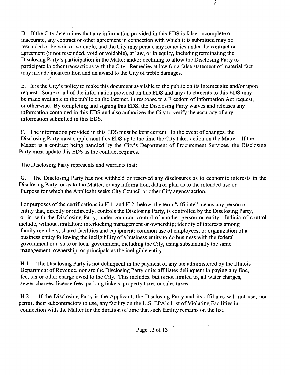D. If the City determines that any information provided in this EDS is false, incomplete or inaccurate, any contract or other agreement in connection with which it is submitted may be rescinded or be void or voidable, and the City may pursue any remedies under the contract or agreement (if not rescinded, void or voidable), at law, or in equity, including terminating the Disclosing Party's participation in the Matter and/or declining to allow the Disclosing Party to participate in other transactions with the City. Remedies at law for a false statement of material fact may include incarceration and an award to the City of treble damages. *I* 

 $\frac{1}{2}$ 

E. It is the City's policy to make this document available to the public on its Intemet site and/or upon request. Some or all of the information provided on this EDS and any attachments to this EDS may be made available to the public on the Intemet, in response to a Freedom of Information Act request, or otherwise. By completing and signing this EDS, the Disclosing Party waives and releases any information contained in this EDS and also authorizes the City to verify the accuracy of any information submitted in this EDS.

F. The information provided in this EDS must be kept current. In the event of changes, the Disclosing Party must supplement this EDS up to the time the City takes action on the Matter. If the Matter is a contract being handled by the City's Department of Procurement Services, the Disclosing Party must update this EDS as the contract requires.

The Disclosing Party represents and warrants that:

G. The Disclosing Party has not withheld or reserved any disclosures as to economic interests in the Disclosing Party, or as to the Matter, or any information, data or plan as to the intended use or  $\rightarrow \frac{1}{4}$ Purpose for which the Applicaht seeks City Council or other City agency action.

For purposes of the certifications in H.1. and H.2. below, the term "affiliate" means any person or entity that, directly or indirectly: controls the Disclosing Party, is controlled by the Disclosing Party, or is, with the Disclosing Party, under common conttol of another person or entity. Indicia of control include, without limitation: interlocking management or ownership; identity of interests among family members; shared facilities and equipment; common use of employees; or organization of a business entity following the ineligibility of a business entity to do business with the federal govemment or a state or local govemment, including the City, using substantially the same management, ownership, or principals as the ineligible entity.

H.1. The Disclosing Party is not delinquent in the payment of any tax administered by the Illinois Department of Revenue, nor are the Disclosing Party or its affiliates delinquent in paying any fine, fee, tax or other charge owed to the City. This includes, but is not limited to, all water charges, sewer charges, license fees, parking tickets, property taxes or sales taxes.

H.2. If the Disclosing Party is the Applicant, the Disclosing Party and its affiliates will not use, nor permit their subcontractors to use, any facility on the U.S. EPA's List of Violating Facilities in connection with the Matter for the duration of time that such facility remains on the list.

Page 12 of 13

 $\sim 100$  .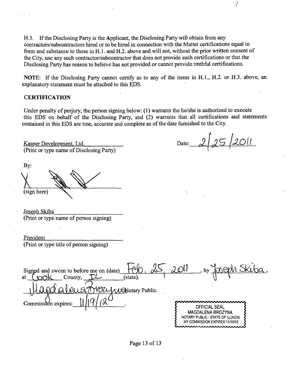H.3. If the Disclosing Party is the Applicant, the Disclosing Party will obtain from any contractors/subcontractors hired or to be hired in connection with the Matter certifications equal in form and substance to those in H.l. and H.2. above and will not, without the prior written consent of the City, use any such contractor/subcontractor that does not provide such certifications or that the Disclosing Party has reason to believe has not provided or cannot provide tmthful certifications.

NOTE: If the Disclosing Party cannot certify as to any of the items in H.l., H.2. or H.3. above, an explanatory statement must be attached to this EDS.

#### **CERTIFICATION**

Under penalty of perjury, the person signing below: (1) warrants the he/she is authorized to execute this EDS on behalf of the Disclosing Party, and (2) warrants that all certifications and statements contained in this EDS are tme, accurate and complete as of the date fumished to the City.

Kasper Development. Ltd. (Print or type name of Disclosing Party)

By: (sign here)

Date: 2/25/2011

i.

Joseph Skiba (Print or type name of person signing)

President (Print or type title of person signing)

 $2$  OU Signed and swom to before me on (date) at  $\text{Coul}$  County,  $\text{L}$  (state). 1 | | | **VOUWRNotary Public.**  $\text{Commission expires:} \begin{equation*} \begin{array}{ll}\text{Cl}\end{array} \begin{equation*} \begin{array}{ll}\text{C}\end{array} \end{equation*} \begin{equation*} \begin{array}{ll}\text{C}\end{array} \end{equation*} \begin{equation*} \begin{array}{ll}\text{C}\end{array} \end{equation*} \begin{equation*} \begin{array}{ll}\text{C}\end{array} \end{equation*} \begin{equation*} \begin{array}{ll}\text{C}\end{array} \end{equation*} \begin{equation*} \begin{array}{ll}\text{C}\end{array} \end{equation*} \begin{equation*} \begin{array}{ll}\text{C$ MAGDALENA BROZYNA NOTARY PUBLIC - STATE OF ILLINOIS MY COMMISSION EXPIRES:11/19/12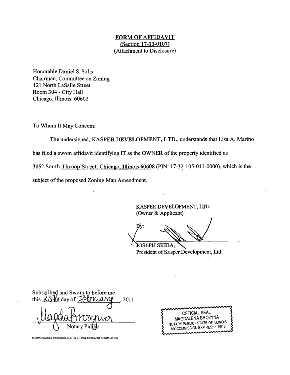#### **FORM OF AFFIDAVIT (Section 17-13-0107)**  (Attachment to Disclosure)

Honorable Daniel S. Solis Chairman, Committee on Zoning 121 North LaSalle Stteet Room 304 - City Hall Chicago, Illinois 60602

To Whom It May Concem:

The undersigned, KASPER DEVELOPMENT, LTD., understands that Lisa A. Marino

has filed a swom affidavit identifying IT as the OWNER of the property identified as

3152 South Throop Street, Chicago, Illinois 60608 (PIN: 17-32-105-011-0000), which is the

subject of the proposed Zoning Map Amendment.

KASPER DEVELOPMENT, LTD. (Owner & Applicant)

 $\mathbf{B}$ v: SEPH SKIBA,

President of Kasper Development, Ltd.

| Subscribed and Swom to before me<br>this $\Delta S \parallel$ day of $\angle$ POMANY , 2011. |  |
|----------------------------------------------------------------------------------------------|--|
|                                                                                              |  |
|                                                                                              |  |
| aknrenior                                                                                    |  |
| Notary Pullic                                                                                |  |

OFFICIAL SEAL MAGDALENA BROZYNA NOTARY PUBLIC - STATE OF ILLINOIS MY COMMISSION EXPIRES: 11/19/12

M:\ZONING\Kasper Development, Ltd\3152 S. Throop St\FORM OF AFFIDAVIT.wpd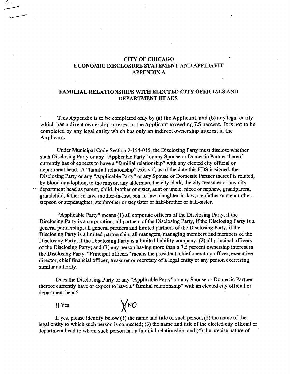#### **CITY OF CHICAGO ECONOMIC DISCLOSURE STATEMENT AND AFFIDAVIT APPENDIX A**

#### **FAMILIAL RELATIONSHIPS WITH ELECTED CITY OFFICIALS AND DEPARTMENT HEADS**

**This Appendix is to be completed only by (a) the Applicant, and (b) any legal entity which has a direct ownership interest in the Applicant exceeding 7.5 percent. It is not to be completed by any legal entity which has only an indirect ownership interest in the Applicant.** 

Under Municipal Code Section 2-154-015, the Disclosing Party must disclose whether such Disclosing Party or any "Applicable Party" or any Spouse or Domestic Partner thereof currently has or expects to have a "familial relationship" with any elected city official or department head. A "familial relationship" exists if, as of the date this EDS is signed, the Disclosing Party or any "Applicable Party" or any Spouse or Domestic Partner thereof is related, by blood or adoption, to the mayor, any alderman, the city clerk, the city tteasurer or any city department head as parent, child, brother or sister, aunt or uncle, niece or nephew, grandparent, grandchild, father-in-law, mother-in-law, son-in-law, daughter-in-law, stepfather or stepmother, stepson or stepdaughter, stepbrother or stepsister or half-brother or half-sister.

"Applicable Party" means (1) all corporate officers of the Disclosing Party, if the Disclosing Party is a corporation; all partners of the Disclosing Party, if the Disclosing Party is a general partnership; all general partners and limited partners of the Disclosing Party, if the Disclosing Party is a limited partnership; all managers, managing members and members of the Disclosing Party, if the Disclosing Party is a limited liability company; (2) all principal officers of the Disclosing Party; and (3) any person having more than a 7.5 percent ownership interest in the Disclosing Party. "Principal officers" means the president, chief operating officer, executive director, chief financial officer, treasurer or secretary of a legal entity or any person exercising similar authority.

Does the Disclosing Party or any "Applicable Party" or any Spouse or Domestic Partaer thereof currently have or expect to have a "familial relationship" with an elected city official or department head?

 $\prod$  Yes



If yes, please identify below  $(1)$  the name and title of such person,  $(2)$  the name of the legal entity to which such person is connected; (3) the name and title of the elected city official or department head to whom such person has a familial relationship, and (4) the precise natare of